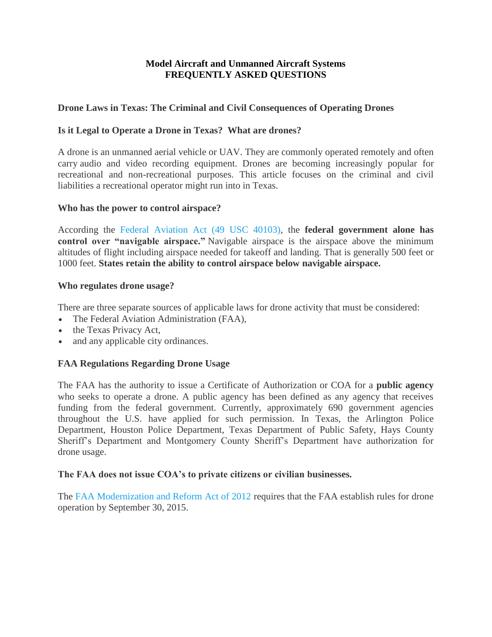## **Model Aircraft and Unmanned Aircraft Systems FREQUENTLY ASKED QUESTIONS**

### **Drone Laws in Texas: The Criminal and Civil Consequences of Operating Drones**

### **Is it Legal to Operate a Drone in Texas? What are drones?**

A drone is an unmanned aerial vehicle or UAV. They are commonly operated remotely and often carry audio and video recording equipment. Drones are becoming increasingly popular for recreational and non-recreational purposes. This article focuses on the criminal and civil liabilities a recreational operator might run into in Texas.

#### **Who has the power to control airspace?**

According the [Federal Aviation Act \(49 USC 40103\),](https://www.law.cornell.edu/uscode/text/49/40103) the **federal government alone has control over "navigable airspace."** Navigable airspace is the airspace above the minimum altitudes of flight including airspace needed for takeoff and landing. That is generally 500 feet or 1000 feet. **States retain the ability to control airspace below navigable airspace.**

#### **Who regulates drone usage?**

There are three separate sources of applicable laws for drone activity that must be considered:

- The Federal Aviation Administration (FAA),
- the Texas Privacy Act,
- and any applicable city ordinances.

### **FAA Regulations Regarding Drone Usage**

The FAA has the authority to issue a Certificate of Authorization or COA for a **public agency** who seeks to operate a drone. A public agency has been defined as any agency that receives funding from the federal government. Currently, approximately 690 government agencies throughout the U.S. have applied for such permission. In Texas, the Arlington Police Department, Houston Police Department, Texas Department of Public Safety, Hays County Sheriff's Department and Montgomery County Sheriff's Department have authorization for drone usage.

#### **The FAA does not issue COA's to private citizens or civilian businesses.**

The [FAA Modernization and Reform Act of 2012](https://www.congress.gov/112/plaws/publ95/PLAW-112publ95.pdf) requires that the FAA establish rules for drone operation by September 30, 2015.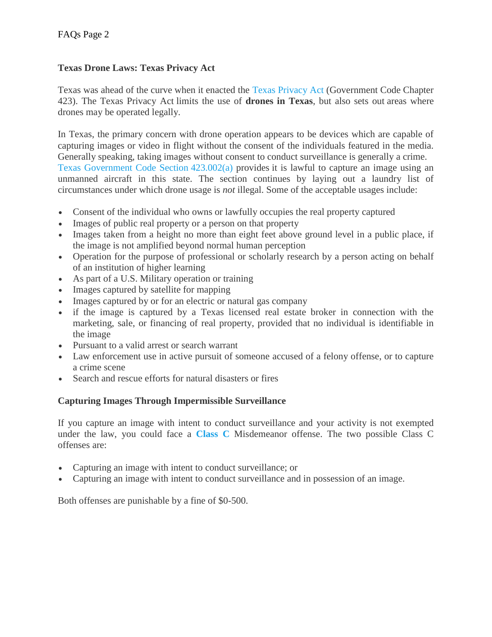## **Texas Drone Laws: Texas Privacy Act**

Texas was ahead of the curve when it enacted the [Texas Privacy Act](http://www.statutes.legis.state.tx.us/Docs/GV/htm/GV.423.htm) (Government Code Chapter 423). The Texas Privacy Act limits the use of **drones in Texas**, but also sets out areas where drones may be operated legally.

In Texas, the primary concern with drone operation appears to be devices which are capable of capturing images or video in flight without the consent of the individuals featured in the media. Generally speaking, taking images without consent to conduct surveillance is generally a crime. [Texas Government Code Section](http://www.statutes.legis.state.tx.us/Docs/GV/htm/GV.423.htm) 423.002(a) provides it is lawful to capture an image using an unmanned aircraft in this state. The section continues by laying out a laundry list of circumstances under which drone usage is *not* illegal. Some of the acceptable usages include:

- Consent of the individual who owns or lawfully occupies the real property captured
- Images of public real property or a person on that property
- Images taken from a height no more than eight feet above ground level in a public place, if the image is not amplified beyond normal human perception
- Operation for the purpose of professional or scholarly research by a person acting on behalf of an institution of higher learning
- As part of a U.S. Military operation or training
- Images captured by satellite for mapping
- Images captured by or for an electric or natural gas company
- if the image is captured by a Texas licensed real estate broker in connection with the marketing, sale, or financing of real property, provided that no individual is identifiable in the image
- Pursuant to a valid arrest or search warrant
- Law enforcement use in active pursuit of someone accused of a felony offense, or to capture a crime scene
- Search and rescue efforts for natural disasters or fires

# **Capturing Images Through Impermissible Surveillance**

If you capture an image with intent to conduct surveillance and your activity is not exempted under the law, you could face a **[Class C](https://www.versustexas.com/class-c/)** Misdemeanor offense. The two possible Class C offenses are:

- Capturing an image with intent to conduct surveillance; or
- Capturing an image with intent to conduct surveillance and in possession of an image.

Both offenses are punishable by a fine of \$0-500.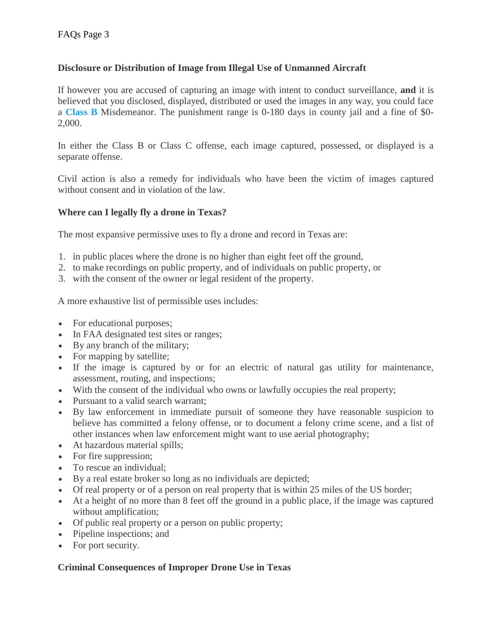## **Disclosure or Distribution of Image from Illegal Use of Unmanned Aircraft**

If however you are accused of capturing an image with intent to conduct surveillance, **and** it is believed that you disclosed, displayed, distributed or used the images in any way, you could face a **[Class B](https://www.versustexas.com/class-b/)** Misdemeanor. The punishment range is 0-180 days in county jail and a fine of \$0- 2,000.

In either the Class B or Class C offense, each image captured, possessed, or displayed is a separate offense.

Civil action is also a remedy for individuals who have been the victim of images captured without consent and in violation of the law.

## **Where can I legally fly a drone in Texas?**

The most expansive permissive uses to fly a drone and record in Texas are:

- 1. in public places where the drone is no higher than eight feet off the ground,
- 2. to make recordings on public property, and of individuals on public property, or
- 3. with the consent of the owner or legal resident of the property.

A more exhaustive list of permissible uses includes:

- For educational purposes;
- In FAA designated test sites or ranges;
- By any branch of the military;
- For mapping by satellite;
- If the image is captured by or for an electric of natural gas utility for maintenance, assessment, routing, and inspections;
- With the consent of the individual who owns or lawfully occupies the real property;
- Pursuant to a valid search warrant;
- By law enforcement in immediate pursuit of someone they have reasonable suspicion to believe has committed a felony offense, or to document a felony crime scene, and a list of other instances when law enforcement might want to use aerial photography;
- At hazardous material spills;
- For fire suppression;
- To rescue an individual;
- By a real estate broker so long as no individuals are depicted;
- Of real property or of a person on real property that is within 25 miles of the US border;
- At a height of no more than 8 feet off the ground in a public place, if the image was captured without amplification;
- Of public real property or a person on public property;
- Pipeline inspections; and
- For port security.

## **Criminal Consequences of Improper Drone Use in Texas**